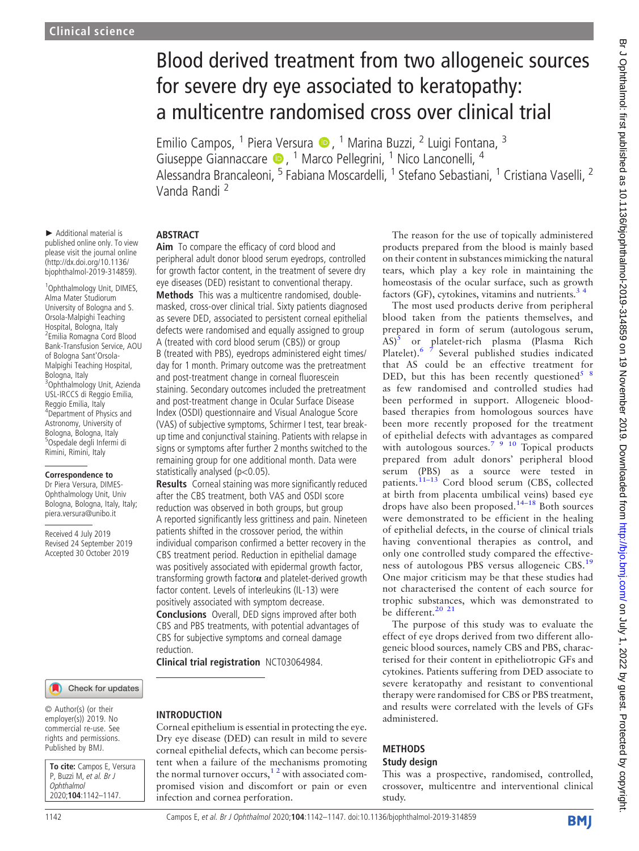► Additional material is published online only. To view please visit the journal online [\(http://dx.doi.org/10.1136/](http://dx.doi.org/10.1136/bjophthalmol-2019-314859) [bjophthalmol-2019-314859\)](http://dx.doi.org/10.1136/bjophthalmol-2019-314859). 1 Ophthalmology Unit, DIMES, Alma Mater Studiorum University of Bologna and S. Orsola-Malpighi Teaching Hospital, Bologna, Italy 2 Emilia Romagna Cord Blood Bank-Transfusion Service, AOU of Bologna Sant'Orsola-Malpighi Teaching Hospital,

Bologna, Italy

3 Ophthalmology Unit, Azienda USL-IRCCS di Reggio Emilia, Reggio Emilia, Italy 4 Department of Physics and Astronomy, University of Bologna, Bologna, Italy 5 Ospedale degli Infermi di Rimini, Rimini, Italy

Correspondence to Dr Piera Versura, DIMES-Ophthalmology Unit, Univ Bologna, Bologna, Italy, Italy; [piera.versura@unibo.it](mailto:piera.versura@unibo.it) Received 4 July 2019 Revised 24 September 2019 Accepted 30 October 2019

# Blood derived treatment from two allogeneic sources for severe dry eye associated to keratopathy: a multicentre randomised cross over clinical trial

Emilio Campos, <sup>1</sup> Piera Versura (D, <sup>1</sup> Marina Buzzi, <sup>2</sup> Luigi Fontana, <sup>3</sup> Giuseppe Giannaccare D, <sup>1</sup> Marco Pellegrini, <sup>1</sup> Nico Lanconelli, <sup>4</sup> Alessandra Brancaleoni, [5](http://orcid.org/0000-0003-2617-0289) Fabiana Moscardelli, <sup>1</sup> Stefano Sebastiani, <sup>1</sup> Cristiana Vaselli, <sup>2</sup> Vanda Randi <sup>2</sup>

#### ABSTRACT

Aim To compare the efficacy of cord blood and peripheral adult donor blood serum eyedrops, controlled for growth factor content, in the treatment of severe dry eye diseases (DED) resistant to conventional therapy.

Methods This was a multicentre randomised, doublemasked, cross-over clinical trial. Sixty patients diagnosed as severe DED, associated to persistent corneal epithelial defects were randomised and equally assigned to group A (treated with cord blood serum (CBS)) or group B (treated with PBS), eyedrops administered eight times/ day for 1 month. Primary outcome was the pretreatment and post-treatment change in corneal fluorescein staining. Secondary outcomes included the pretreatment and post-treatment change in Ocular Surface Disease Index (OSDI) questionnaire and Visual Analogue Score (VAS) of subjective symptoms, Schirmer I test, tear breakup time and conjunctival staining. Patients with relapse in signs or symptoms after further 2 months switched to the remaining group for one additional month. Data were statistically analysed (p<0.05).

Results Corneal staining was more significantly reduced after the CBS treatment, both VAS and OSDI score reduction was observed in both groups, but group A reported significantly less grittiness and pain. Nineteen patients shifted in the crossover period, the within individual comparison confirmed a better recovery in the CBS treatment period. Reduction in epithelial damage was positively associated with epidermal growth factor, transforming growth factorα and platelet-derived growth factor content. Levels of interleukins (IL-13) were positively associated with symptom decrease. Conclusions Overall, DED signs improved after both CBS and PBS treatments, with potential advantages of CBS for subjective symptoms and corneal damage reduction.

Clinical trial registration [NCT03064984.](NCT03064984)

#### Check for updates

© Author(s) (or their employer(s)) 2019. No commercial re-use. See rights and permissions. Published by BMJ.

To cite: Campos E, Versura P, Buzzi M, et al. Br J **Ophthalmol** 2020;104:1142–1147.

## INTRODUCTION

Corneal epithelium is essential in protecting the eye. Dry eye disease (DED) can result in mild to severe corneal epithelial defects, which can become persistent when a failure of the mechanisms promoting the normal turnover occurs, $1^2$  with associated compromised vision and discomfort or pain or even infection and cornea perforation.

The reason for the use of topically administered products prepared from the blood is mainly based on their content in substances mimicking the natural tears, which play a key role in maintaining the homeostasis of the ocular surface, such as growth factors (GF), cytokines, vitamins and nutrients. $3<sup>4</sup>$ 

The most used products derive from peripheral blood taken from the patients themselves, and prepared in form of serum (autologous serum, AS)<sup>[5](#page-5-2)</sup> or platelet-rich plasma (Plasma Rich Platelet). $6 \overline{7}$  Several published studies indicated that AS could be an effective treatment for DED, but this has been recently questioned<sup>5</sup>  $\frac{8}{3}$ as few randomised and controlled studies had been performed in support. Allogeneic bloodbased therapies from homologous sources have been more recently proposed for the treatment of epithelial defects with advantages as compared with autologous sources.<sup>7</sup> <sup>9</sup> <sup>10</sup> Topical products prepared from adult donors' peripheral blood serum (PBS) as a source were tested in patients.<sup>11-[13](#page-5-5)</sup> Cord blood serum (CBS, collected at birth from placenta umbilical veins) based eye drops have also been proposed.<sup>[14](#page-5-6)-18</sup> Both sources were demonstrated to be efficient in the healing of epithelial defects, in the course of clinical trials having conventional therapies as control, and only one controlled study compared the effectiveness of autologous PBS versus allogeneic CBS.[19](#page-5-7) One major criticism may be that these studies had not characterised the content of each source for trophic substances, which was demonstrated to be different.<sup>20</sup><sup>21</sup>

The purpose of this study was to evaluate the effect of eye drops derived from two different allogeneic blood sources, namely CBS and PBS, characterised for their content in epitheliotropic GFs and cytokines. Patients suffering from DED associate to severe keratopathy and resistant to conventional therapy were randomised for CBS or PBS treatment, and results were correlated with the levels of GFs administered.

#### METHODS Study design

This was a prospective, randomised, controlled, crossover, multicentre and interventional clinical study.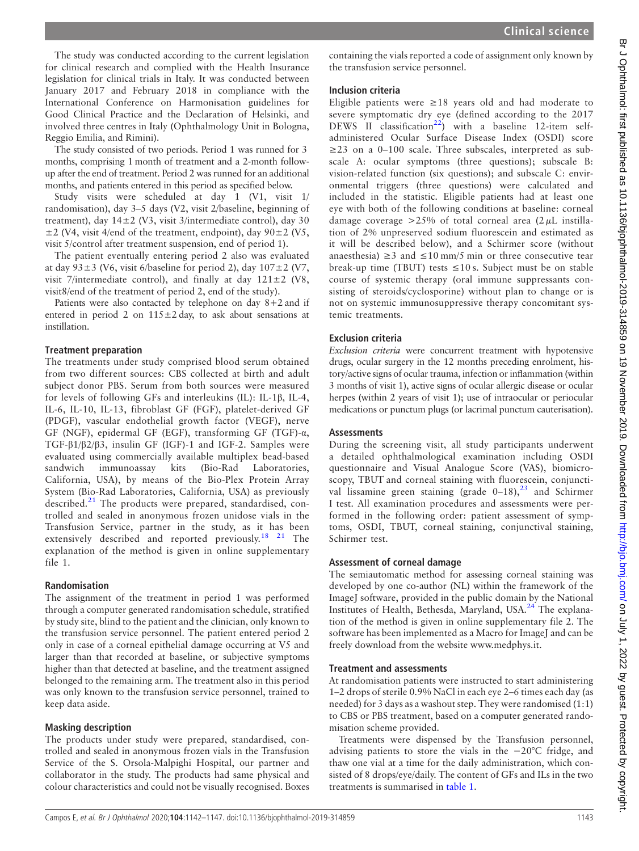The study was conducted according to the current legislation for clinical research and complied with the Health Insurance legislation for clinical trials in Italy. It was conducted between January 2017 and February 2018 in compliance with the International Conference on Harmonisation guidelines for Good Clinical Practice and the Declaration of Helsinki, and involved three centres in Italy (Ophthalmology Unit in Bologna, Reggio Emilia, and Rimini).

The study consisted of two periods. Period 1 was runned for 3 months, comprising 1 month of treatment and a 2-month followup after the end of treatment. Period 2 was runned for an additional months, and patients entered in this period as specified below.

Study visits were scheduled at day 1 (V1, visit 1/ randomisation), day 3–5 days (V2, visit 2/baseline, beginning of treatment), day  $14\pm2$  (V3, visit 3/intermediate control), day 30  $\pm$ 2 (V4, visit 4/end of the treatment, endpoint), day 90 $\pm$ 2 (V5, visit 5/control after treatment suspension, end of period 1).

The patient eventually entering period 2 also was evaluated at day  $93\pm3$  (V6, visit 6/baseline for period 2), day  $107\pm2$  (V7, visit 7/intermediate control), and finally at day  $121 \pm 2$  (V8, visit8/end of the treatment of period 2, end of the study).

Patients were also contacted by telephone on day 8+2 and if entered in period 2 on  $115 \pm 2$  day, to ask about sensations at instillation.

#### Treatment preparation

The treatments under study comprised blood serum obtained from two different sources: CBS collected at birth and adult subject donor PBS. Serum from both sources were measured for levels of following GFs and interleukins (IL): IL-1β, IL-4, IL-6, IL-10, IL-13, fibroblast GF (FGF), platelet-derived GF (PDGF), vascular endothelial growth factor (VEGF), nerve GF (NGF), epidermal GF (EGF), transforming GF (TGF)-α, TGF-β1/β2/β3, insulin GF (IGF)-1 and IGF-2. Samples were evaluated using commercially available multiplex bead-based sandwich immunoassay kits (Bio-Rad Laboratories, California, USA), by means of the Bio-Plex Protein Array System (Bio-Rad Laboratories, California, USA) as previously described.<sup>[21](#page-5-9)</sup> The products were prepared, standardised, controlled and sealed in anonymous frozen unidose vials in the Transfusion Service, partner in the study, as it has been extensively described and reported previously.[18 21](#page-5-10) The explanation of the method is given in [online supplementary](https://dx.doi.org/10.1136/bjophthalmol-2019-314859) [file 1](https://dx.doi.org/10.1136/bjophthalmol-2019-314859).

#### Randomisation

The assignment of the treatment in period 1 was performed through a computer generated randomisation schedule, stratified by study site, blind to the patient and the clinician, only known to the transfusion service personnel. The patient entered period 2 only in case of a corneal epithelial damage occurring at V5 and larger than that recorded at baseline, or subjective symptoms higher than that detected at baseline, and the treatment assigned belonged to the remaining arm. The treatment also in this period was only known to the transfusion service personnel, trained to keep data aside.

## Masking description

The products under study were prepared, standardised, controlled and sealed in anonymous frozen vials in the Transfusion Service of the S. Orsola-Malpighi Hospital, our partner and collaborator in the study. The products had same physical and colour characteristics and could not be visually recognised. Boxes

containing the vials reported a code of assignment only known by the transfusion service personnel.

### Inclusion criteria

Eligible patients were ≥18 years old and had moderate to severe symptomatic dry eye (defined according to the 2017 DEWS II classification<sup>[22](#page-5-11)</sup>) with a baseline 12-item selfadministered Ocular Surface Disease Index (OSDI) score ≥23 on a 0–100 scale. Three subscales, interpreted as subscale A: ocular symptoms (three questions); subscale B: vision-related function (six questions); and subscale C: environmental triggers (three questions) were calculated and included in the statistic. Eligible patients had at least one eye with both of the following conditions at baseline: corneal damage coverage  $>25\%$  of total corneal area  $(2 \mu L)$  instillation of 2% unpreserved sodium fluorescein and estimated as it will be described below), and a Schirmer score (without anaesthesia)  $\geq$ 3 and  $\leq$ 10 mm/5 min or three consecutive tear break-up time (TBUT) tests  $\leq 10$  s. Subject must be on stable course of systemic therapy (oral immune suppressants consisting of steroids/cyclosporine) without plan to change or is not on systemic immunosuppressive therapy concomitant systemic treatments.

## Exclusion criteria

Exclusion criteria were concurrent treatment with hypotensive drugs, ocular surgery in the 12 months preceding enrolment, history/active signs of ocular trauma, infection or inflammation (within 3 months of visit 1), active signs of ocular allergic disease or ocular herpes (within 2 years of visit 1); use of intraocular or periocular medications or punctum plugs (or lacrimal punctum cauterisation).

## Assessments

During the screening visit, all study participants underwent a detailed ophthalmological examination including OSDI questionnaire and Visual Analogue Score (VAS), biomicroscopy, TBUT and corneal staining with fluorescein, conjunctival lissamine green staining (grade  $0-18$ ),  $23$  and Schirmer I test. All examination procedures and assessments were performed in the following order: patient assessment of symptoms, OSDI, TBUT, corneal staining, conjunctival staining, Schirmer test.

## Assessment of corneal damage

The semiautomatic method for assessing corneal staining was developed by one co-author (NL) within the framework of the ImageJ software, provided in the public domain by the National Institutes of Health, Bethesda, Maryland, USA.<sup>[24](#page-5-13)</sup> The explanation of the method is given in [online supplementary file 2.](https://dx.doi.org/10.1136/bjophthalmol-2019-314859) The software has been implemented as a Macro for ImageJ and can be freely download from the website [www.medphys.it.](www.medphys.it)

## Treatment and assessments

At randomisation patients were instructed to start administering 1–2 drops of sterile 0.9% NaCl in each eye 2–6 times each day (as needed) for 3 days as a washout step. They were randomised (1:1) to CBS or PBS treatment, based on a computer generated randomisation scheme provided.

Treatments were dispensed by the Transfusion personnel, advising patients to store the vials in the −20°C fridge, and thaw one vial at a time for the daily administration, which consisted of 8 drops/eye/daily. The content of GFs and ILs in the two treatments is summarised in [table 1](#page-2-0).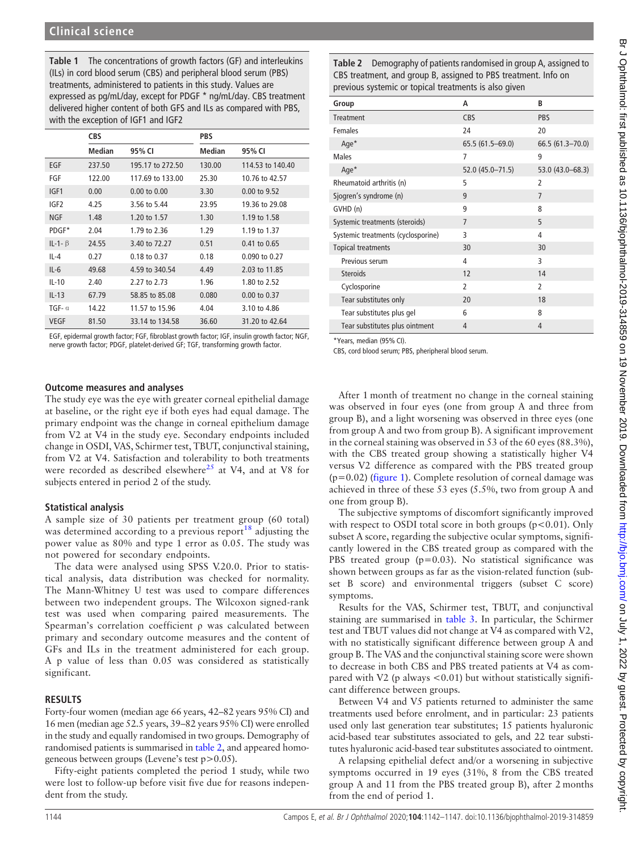<span id="page-2-0"></span>Table 1 The concentrations of growth factors (GF) and interleukins (ILs) in cord blood serum (CBS) and peripheral blood serum (PBS) treatments, administered to patients in this study. Values are expressed as pg/mL/day, except for PDGF \* ng/mL/day. CBS treatment delivered higher content of both GFS and ILs as compared with PBS, with the exception of IGF1 and IGF2

|                  | <b>CBS</b>    |                         | PBS           |                         |
|------------------|---------------|-------------------------|---------------|-------------------------|
|                  | <b>Median</b> | 95% CI                  | <b>Median</b> | 95% CI                  |
| EGF              | 237.50        | 195.17 to 272.50        | 130.00        | 114.53 to 140.40        |
| FGF              | 122.00        | 117.69 to 133.00        | 25.30         | 10.76 to 42.57          |
| IGF1             | 0.00          | $0.00 \text{ to } 0.00$ | 3.30          | $0.00 \text{ to } 9.52$ |
| IGF <sub>2</sub> | 4.25          | 3.56 to 5.44            | 23.95         | 19.36 to 29.08          |
| NGF              | 1.48          | 1.20 to 1.57            | 1.30          | 1.19 to 1.58            |
| PDGF*            | 2.04          | 1.79 to 2.36            | 1.29          | 1.19 to 1.37            |
| $IL-1-\beta$     | 24.55         | 3.40 to 72.27           | 0.51          | 0.41 to 0.65            |
| $IL - 4$         | 0.27          | 0.18 to 0.37            | 0.18          | 0.090 to 0.27           |
| $IL-6$           | 49.68         | 4.59 to 340.54          | 4.49          | 2.03 to 11.85           |
| $IL-10$          | 2.40          | 2.27 to 2.73            | 1.96          | 1.80 to 2.52            |
| $IL-13$          | 67.79         | 58.85 to 85.08          | 0.080         | $0.00$ to $0.37$        |
| $TGF-a$          | 14.22         | 11.57 to 15.96          | 4.04          | 3.10 to 4.86            |
| <b>VEGF</b>      | 81.50         | 33.14 to 134.58         | 36.60         | 31.20 to 42.64          |

EGF, epidermal growth factor; FGF, fibroblast growth factor; IGF, insulin growth factor; NGF, nerve growth factor; PDGF, platelet-derived GF; TGF, transforming growth factor.

#### Outcome measures and analyses

The study eye was the eye with greater corneal epithelial damage at baseline, or the right eye if both eyes had equal damage. The primary endpoint was the change in corneal epithelium damage from V2 at V4 in the study eye. Secondary endpoints included change in OSDI, VAS, Schirmer test, TBUT, conjunctival staining, from V2 at V4. Satisfaction and tolerability to both treatments were recorded as described elsewhere<sup>[25](#page-5-14)</sup> at V4, and at V8 for subjects entered in period 2 of the study.

#### Statistical analysis

A sample size of 30 patients per treatment group (60 total) was determined according to a previous report $^{18}$  $^{18}$  $^{18}$  adjusting the power value as 80% and type 1 error as 0.05. The study was not powered for secondary endpoints.

The data were analysed using SPSS V.20.0. Prior to statistical analysis, data distribution was checked for normality. The Mann-Whitney U test was used to compare differences between two independent groups. The Wilcoxon signed-rank test was used when comparing paired measurements. The Spearman's correlation coefficient ρ was calculated between primary and secondary outcome measures and the content of GFs and ILs in the treatment administered for each group. A p value of less than 0.05 was considered as statistically significant.

#### RESULTS

Forty-four women (median age 66 years, 42–82 years 95% CI) and 16 men (median age 52.5 years, 39–82 years 95% CI) were enrolled in the study and equally randomised in two groups. Demography of randomised patients is summarised in [table 2](#page-2-1), and appeared homogeneous between groups (Levene's test p>0.05).

Fifty-eight patients completed the period 1 study, while two were lost to follow-up before visit five due for reasons independent from the study.

<span id="page-2-1"></span>Table 2 Demography of patients randomised in group A, assigned to CBS treatment, and group B, assigned to PBS treatment. Info on previous systemic or topical treatments is also given

|  | Group                              | А                   | B                   |
|--|------------------------------------|---------------------|---------------------|
|  | Treatment                          | <b>CBS</b>          | <b>PBS</b>          |
|  | Females                            | 24                  | 20                  |
|  | $Aqe^*$                            | $65.5(61.5-69.0)$   | $66.5(61.3 - 70.0)$ |
|  | Males                              | 7                   | 9                   |
|  | $Aqe^*$                            | $52.0(45.0 - 71.5)$ | 53.0 (43.0-68.3)    |
|  | Rheumatoid arthritis (n)           | 5                   | $\overline{2}$      |
|  | Sjogren's syndrome (n)             | 9                   | $\overline{7}$      |
|  | GVHD (n)                           | 9                   | 8                   |
|  | Systemic treatments (steroids)     | 7                   | 5                   |
|  | Systemic treatments (cyclosporine) | 3                   | 4                   |
|  | <b>Topical treatments</b>          | 30                  | 30                  |
|  | Previous serum                     | 4                   | 3                   |
|  | <b>Steroids</b>                    | 12                  | 14                  |
|  | Cyclosporine                       | 2                   | $\overline{2}$      |
|  | Tear substitutes only              | 20                  | 18                  |
|  | Tear substitutes plus gel          | 6                   | 8                   |
|  | Tear substitutes plus ointment     | 4                   | 4                   |
|  |                                    |                     |                     |

\*Years, median (95% CI).

CBS, cord blood serum; PBS, pheripheral blood serum.

After 1 month of treatment no change in the corneal staining was observed in four eyes (one from group A and three from group B), and a light worsening was observed in three eyes (one from group A and two from group B). A significant improvement in the corneal staining was observed in 53 of the 60 eyes (88.3%), with the CBS treated group showing a statistically higher V4 versus V2 difference as compared with the PBS treated group  $(p=0.02)$  [\(figure 1\)](#page-3-0). Complete resolution of corneal damage was achieved in three of these 53 eyes (5.5%, two from group A and one from group B).

The subjective symptoms of discomfort significantly improved with respect to OSDI total score in both groups  $(p<0.01)$ . Only subset A score, regarding the subjective ocular symptoms, significantly lowered in the CBS treated group as compared with the PBS treated group (p=0.03). No statistical significance was shown between groups as far as the vision-related function (subset B score) and environmental triggers (subset C score) symptoms.

Results for the VAS, Schirmer test, TBUT, and conjunctival staining are summarised in [table 3.](#page-3-1) In particular, the Schirmer test and TBUT values did not change at V4 as compared with V2, with no statistically significant difference between group A and group B. The VAS and the conjunctival staining score were shown to decrease in both CBS and PBS treated patients at V4 as compared with V2 (p always  $< 0.01$ ) but without statistically significant difference between groups.

Between V4 and V5 patients returned to administer the same treatments used before enrolment, and in particular: 23 patients used only last generation tear substitutes; 15 patients hyaluronic acid-based tear substitutes associated to gels, and 22 tear substitutes hyaluronic acid-based tear substitutes associated to ointment.

A relapsing epithelial defect and/or a worsening in subjective symptoms occurred in 19 eyes (31%, 8 from the CBS treated group A and 11 from the PBS treated group B), after 2 months from the end of period 1.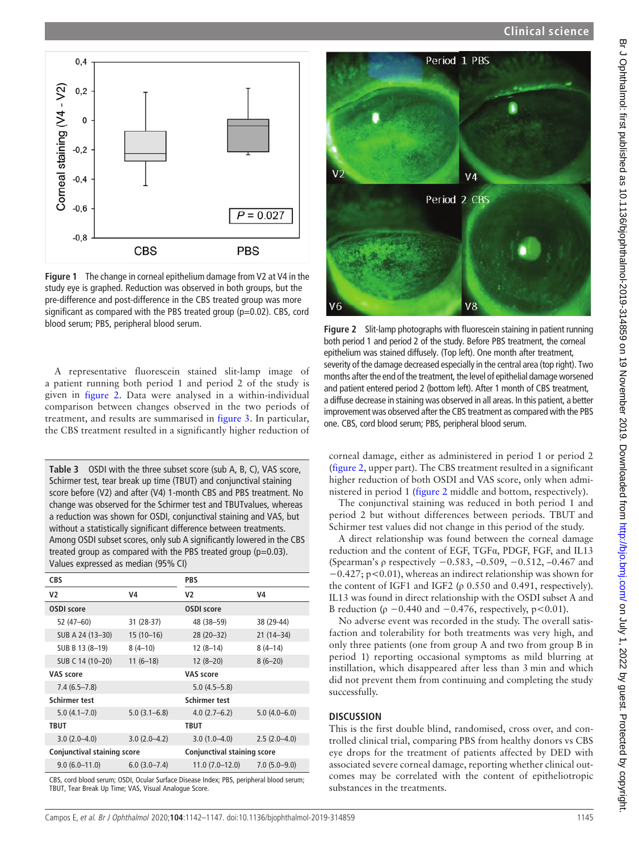<span id="page-3-0"></span>

Figure 1 The change in corneal epithelium damage from V2 at V4 in the study eye is graphed. Reduction was observed in both groups, but the pre-difference and post-difference in the CBS treated group was more significant as compared with the PBS treated group ( $p=0.02$ ). CBS, cord blood serum; PBS, peripheral blood serum.

A representative fluorescein stained slit-lamp image of a patient running both period 1 and period 2 of the study is given in [figure 2](#page-3-2). Data were analysed in a within-individual comparison between changes observed in the two periods of treatment, and results are summarised in [figure 3](#page-4-0). In particular, the CBS treatment resulted in a significantly higher reduction of

<span id="page-3-1"></span>Table 3 OSDI with the three subset score (sub A, B, C), VAS score, Schirmer test, tear break up time (TBUT) and conjunctival staining score before (V2) and after (V4) 1-month CBS and PBS treatment. No change was observed for the Schirmer test and TBUTvalues, whereas a reduction was shown for OSDI, conjunctival staining and VAS, but without a statistically significant difference between treatments. Among OSDI subset scores, only sub A significantly lowered in the CBS treated group as compared with the PBS treated group  $(p=0.03)$ . Values expressed as median (95% CI)

| <b>CBS</b>                         |                  | <b>PBS</b>                         |                |  |
|------------------------------------|------------------|------------------------------------|----------------|--|
| V <sub>2</sub>                     | V4               | V2                                 | V4             |  |
| <b>OSDI</b> score                  |                  | <b>OSDI</b> score                  |                |  |
| 52 (47-60)                         | 31 (28-37)       | 48 (38–59)                         | 38 (29-44)     |  |
| SUB A 24 (13-30)                   | $15(10-16)$      | $28(20-32)$                        | $21(14-34)$    |  |
| SUB B 13 (8-19)                    | $8(4-10)$        | $12(8-14)$                         | $8(4-14)$      |  |
| SUB C 14 (10-20)                   | $11(6-18)$       | $12(8-20)$                         | $8(6-20)$      |  |
| VAS score                          |                  | VAS score                          |                |  |
| $7.4(6.5 - 7.8)$                   |                  | $5.0(4.5-5.8)$                     |                |  |
| <b>Schirmer test</b>               |                  | <b>Schirmer test</b>               |                |  |
| $5.0(4.1 - 7.0)$                   | $5.0(3.1 - 6.8)$ | $4.0(2.7-6.2)$                     | $5.0(4.0-6.0)$ |  |
| TBUT                               |                  | TBUT                               |                |  |
| $3.0(2.0-4.0)$                     | $3.0(2.0-4.2)$   | $3.0(1.0-4.0)$                     | $2.5(2.0-4.0)$ |  |
| <b>Conjunctival staining score</b> |                  | <b>Conjunctival staining score</b> |                |  |
| $9.0(6.0-11.0)$                    | $6.0(3.0 - 7.4)$ | $11.0(7.0-12.0)$                   | $7.0(5.0-9.0)$ |  |

CBS, cord blood serum; OSDI, Ocular Surface Disease Index; PBS, peripheral blood serum; TBUT, Tear Break Up Time; VAS, Visual Analogue Score.

<span id="page-3-2"></span>

Figure 2 Slit-lamp photographs with fluorescein staining in patient running both period 1 and period 2 of the study. Before PBS treatment, the corneal epithelium was stained diffusely. (Top left). One month after treatment, severity of the damage decreased especially in the central area (top right). Two months after the end of the treatment, the level of epithelial damage worsened and patient entered period 2 (bottom left). After 1 month of CBS treatment, a diffuse decrease in staining was observed in all areas. In this patient, a better improvement was observed after the CBS treatment as compared with the PBS one. CBS, cord blood serum; PBS, peripheral blood serum.

corneal damage, either as administered in period 1 or period 2 ([figure 2](#page-3-2), upper part). The CBS treatment resulted in a significant higher reduction of both OSDI and VAS score, only when administered in period 1 ([figure 2](#page-3-2) middle and bottom, respectively).

The conjunctival staining was reduced in both period 1 and period 2 but without differences between periods. TBUT and Schirmer test values did not change in this period of the study.

A direct relationship was found between the corneal damage reduction and the content of EGF, TGFα, PDGF, FGF, and IL13 (Spearman's ρ respectively −0.583, –0.509, −0.512, –0.467 and −0.427; p<0.01), whereas an indirect relationship was shown for the content of IGF1 and IGF2 (ρ 0.550 and 0.491, respectively). IL13 was found in direct relationship with the OSDI subset A and B reduction ( $\rho$  −0.440 and −0.476, respectively,  $p$ <0.01).

No adverse event was recorded in the study. The overall satisfaction and tolerability for both treatments was very high, and only three patients (one from group A and two from group B in period 1) reporting occasional symptoms as mild blurring at instillation, which disappeared after less than 3 min and which did not prevent them from continuing and completing the study successfully.

#### **DISCUSSION**

This is the first double blind, randomised, cross over, and controlled clinical trial, comparing PBS from healthy donors vs CBS eye drops for the treatment of patients affected by DED with associated severe corneal damage, reporting whether clinical outcomes may be correlated with the content of epitheliotropic substances in the treatments.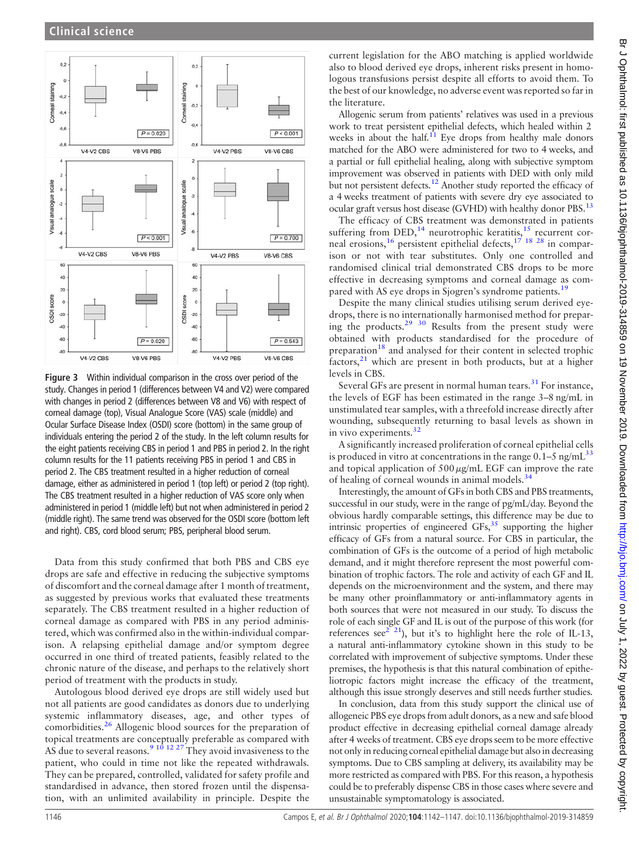<span id="page-4-0"></span>

Figure 3 Within individual comparison in the cross over period of the study. Changes in period 1 (differences between V4 and V2) were compared with changes in period 2 (differences between V8 and V6) with respect of corneal damage (top), Visual Analogue Score (VAS) scale (middle) and Ocular Surface Disease Index (OSDI) score (bottom) in the same group of individuals entering the period 2 of the study. In the left column results for the eight patients receiving CBS in period 1 and PBS in period 2. In the right column results for the 11 patients receiving PBS in period 1 and CBS in period 2. The CBS treatment resulted in a higher reduction of corneal damage, either as administered in period 1 (top left) or period 2 (top right). The CBS treatment resulted in a higher reduction of VAS score only when administered in period 1 (middle left) but not when administered in period 2 (middle right). The same trend was observed for the OSDI score (bottom left and right). CBS, cord blood serum; PBS, peripheral blood serum.

Data from this study confirmed that both PBS and CBS eye drops are safe and effective in reducing the subjective symptoms of discomfort and the corneal damage after 1 month of treatment, as suggested by previous works that evaluated these treatments separately. The CBS treatment resulted in a higher reduction of corneal damage as compared with PBS in any period administered, which was confirmed also in the within-individual comparison. A relapsing epithelial damage and/or symptom degree occurred in one third of treated patients, feasibly related to the chronic nature of the disease, and perhaps to the relatively short period of treatment with the products in study.

Autologous blood derived eye drops are still widely used but not all patients are good candidates as donors due to underlying systemic inflammatory diseases, age, and other types of comorbidities.[26](#page-5-15) Allogenic blood sources for the preparation of topical treatments are conceptually preferable as compared with AS due to several reasons.<sup>9 10</sup> <sup>12 27</sup> They avoid invasiveness to the patient, who could in time not like the repeated withdrawals. They can be prepared, controlled, validated for safety profile and standardised in advance, then stored frozen until the dispensation, with an unlimited availability in principle. Despite the

current legislation for the ABO matching is applied worldwide also to blood derived eye drops, inherent risks present in homologous transfusions persist despite all efforts to avoid them. To the best of our knowledge, no adverse event was reported so far in the literature.

Allogenic serum from patients' relatives was used in a previous work to treat persistent epithelial defects, which healed within 2 weeks in about the half. $^{11}$  Eye drops from healthy male donors matched for the ABO were administered for two to 4 weeks, and a partial or full epithelial healing, along with subjective symptom improvement was observed in patients with DED with only mild but not persistent defects.<sup>[12](#page-5-17)</sup> Another study reported the efficacy of a 4 weeks treatment of patients with severe dry eye associated to ocular graft versus host disease (GVHD) with healthy donor PBS.<sup>13</sup>

The efficacy of CBS treatment was demonstrated in patients suffering from  $DED<sub>14</sub><sup>14</sup>$  $DED<sub>14</sub><sup>14</sup>$  $DED<sub>14</sub><sup>14</sup>$  neurotrophic keratitis,<sup>[15](#page-5-19)</sup> recurrent cor-neal erosions,<sup>[16](#page-5-20)</sup> persistent epithelial defects,<sup>[17 18 28](#page-5-21)</sup> in comparison or not with tear substitutes. Only one controlled and randomised clinical trial demonstrated CBS drops to be more effective in decreasing symptoms and corneal damage as com-pared with AS eye drops in Sjogren's syndrome patients.<sup>[19](#page-5-7)</sup>

Despite the many clinical studies utilising serum derived eyedrops, there is no internationally harmonised method for preparing the products.[29 30](#page-5-22) Results from the present study were obtained with products standardised for the procedure of preparation<sup>[18](#page-5-10)</sup> and analysed for their content in selected trophic  $factors<sub>1</sub><sup>21</sup>$  $factors<sub>1</sub><sup>21</sup>$  $factors<sub>1</sub><sup>21</sup>$  which are present in both products, but at a higher levels in CBS.

Several GFs are present in normal human tears. $31$  For instance, the levels of EGF has been estimated in the range 3–8 ng/mL in unstimulated tear samples, with a threefold increase directly after wounding, subsequently returning to basal levels as shown in in vivo experiments.<sup>[32](#page-5-24)</sup>

A significantly increased proliferation of corneal epithelial cells is produced in vitro at concentrations in the range  $0.1-5$  ng/mL<sup>[33](#page-5-25)</sup> and topical application of  $500 \mu g/mL$  EGF can improve the rate of healing of corneal wounds in animal models.<sup>[34](#page-5-26)</sup>

Interestingly, the amount of GFs in both CBS and PBS treatments, successful in our study, were in the range of pg/mL/day. Beyond the obvious hardly comparable settings, this difference may be due to intrinsic properties of engineered  $GFs<sub>3</sub><sup>35</sup>$  supporting the higher efficacy of GFs from a natural source. For CBS in particular, the combination of GFs is the outcome of a period of high metabolic demand, and it might therefore represent the most powerful combination of trophic factors. The role and activity of each GF and IL depends on the microenvironment and the system, and there may be many other proinflammatory or anti-inflammatory agents in both sources that were not measured in our study. To discuss the role of each single GF and IL is out of the purpose of this work (for references see<sup>[2 21](#page-5-28)</sup>), but it's to highlight here the role of IL-13, a natural anti-inflammatory cytokine shown in this study to be correlated with improvement of subjective symptoms. Under these premises, the hypothesis is that this natural combination of epitheliotropic factors might increase the efficacy of the treatment, although this issue strongly deserves and still needs further studies.

In conclusion, data from this study support the clinical use of allogeneic PBS eye drops from adult donors, as a new and safe blood product effective in decreasing epithelial corneal damage already after 4 weeks of treatment. CBS eye drops seem to be more effective not only in reducing corneal epithelial damage but also in decreasing symptoms. Due to CBS sampling at delivery, its availability may be more restricted as compared with PBS. For this reason, a hypothesis could be to preferably dispense CBS in those cases where severe and unsustainable symptomatology is associated.